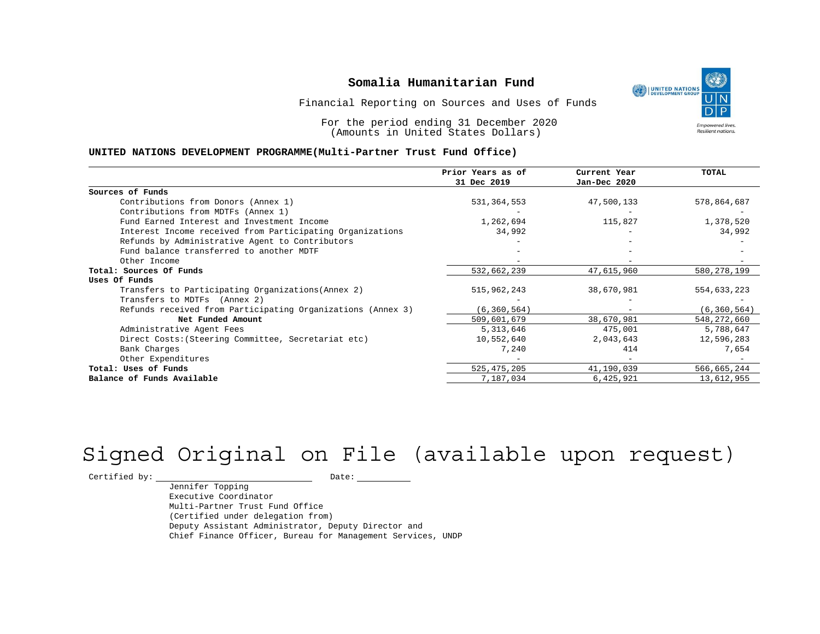UNITED NATIONS **Empowered lives** Resilient nations.

Financial Reporting on Sources and Uses of Funds

For the period ending 31 December 2020 (Amounts in United States Dollars)

#### **UNITED NATIONS DEVELOPMENT PROGRAMME(Multi-Partner Trust Fund Office)**

|                                                             | Prior Years as of | Current Year             | <b>TOTAL</b>  |
|-------------------------------------------------------------|-------------------|--------------------------|---------------|
|                                                             | 31 Dec 2019       | Jan-Dec 2020             |               |
| Sources of Funds                                            |                   |                          |               |
| Contributions from Donors (Annex 1)                         | 531, 364, 553     | 47,500,133               | 578,864,687   |
| Contributions from MDTFs (Annex 1)                          |                   |                          |               |
| Fund Earned Interest and Investment Income                  | 1,262,694         | 115,827                  | 1,378,520     |
| Interest Income received from Participating Organizations   | 34,992            | $\overline{\phantom{0}}$ | 34,992        |
| Refunds by Administrative Agent to Contributors             |                   |                          |               |
| Fund balance transferred to another MDTF                    |                   |                          |               |
| Other Income                                                |                   |                          |               |
| Total: Sources Of Funds                                     | 532,662,239       | 47,615,960               | 580, 278, 199 |
| Uses Of Funds                                               |                   |                          |               |
| Transfers to Participating Organizations (Annex 2)          | 515,962,243       | 38,670,981               | 554,633,223   |
| Transfers to MDTFs (Annex 2)                                |                   |                          |               |
| Refunds received from Participating Organizations (Annex 3) | (6, 360, 564)     | $\overline{\phantom{0}}$ | (6, 360, 564) |
| Net Funded Amount                                           | 509,601,679       | 38,670,981               | 548, 272, 660 |
| Administrative Agent Fees                                   | 5,313,646         | 475,001                  | 5,788,647     |
| Direct Costs: (Steering Committee, Secretariat etc)         | 10,552,640        | 2,043,643                | 12,596,283    |
| Bank Charges                                                | 7,240             | 414                      | 7,654         |
| Other Expenditures                                          |                   |                          |               |
| Total: Uses of Funds                                        | 525, 475, 205     | 41,190,039               | 566,665,244   |
| Balance of Funds Available                                  | 7,187,034         | 6,425,921                | 13,612,955    |

# Signed Original on File (available upon request)

 $\begin{tabular}{c} \multicolumn{2}{c}{{\texttt{Certified by:}}}} \quad \quad \texttt{Date:} \end{tabular}$ 

Jennifer Topping Executive Coordinator Multi-Partner Trust Fund Office (Certified under delegation from) Deputy Assistant Administrator, Deputy Director and Chief Finance Officer, Bureau for Management Services, UNDP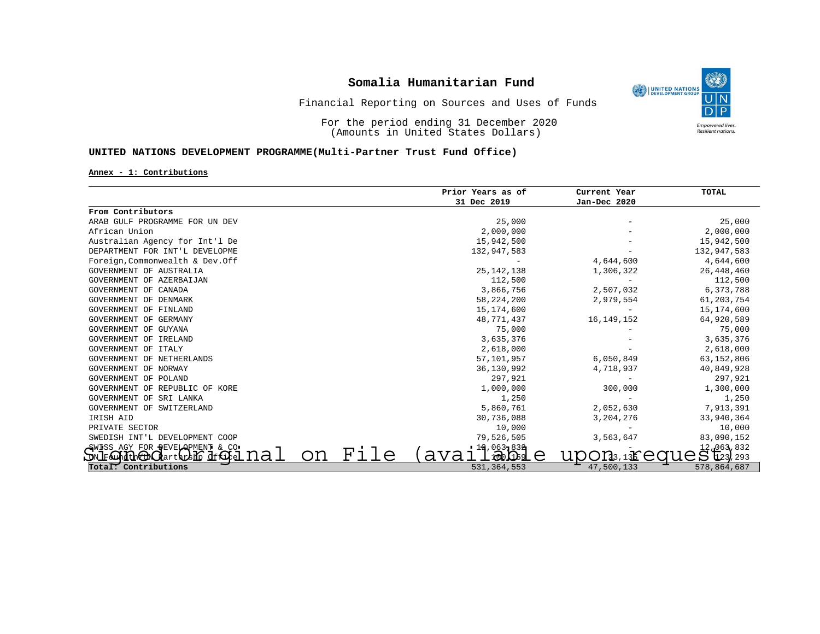

Financial Reporting on Sources and Uses of Funds

For the period ending 31 December 2020 (Amounts in United States Dollars)

### **UNITED NATIONS DEVELOPMENT PROGRAMME(Multi-Partner Trust Fund Office)**

#### **Annex - 1: Contributions**

|                                                       | Prior Years as of | Current Year | TOTAL        |
|-------------------------------------------------------|-------------------|--------------|--------------|
|                                                       | 31 Dec 2019       | Jan-Dec 2020 |              |
| From Contributors                                     |                   |              |              |
| ARAB GULF PROGRAMME FOR UN DEV                        | 25,000            |              | 25,000       |
| African Union                                         | 2,000,000         |              | 2,000,000    |
| Australian Agency for Int'l De                        | 15,942,500        |              | 15,942,500   |
| DEPARTMENT FOR INT'L DEVELOPME                        | 132,947,583       |              | 132,947,583  |
| Foreign, Commonwealth & Dev.Off                       |                   | 4,644,600    | 4,644,600    |
| GOVERNMENT OF AUSTRALIA                               | 25, 142, 138      | 1,306,322    | 26, 448, 460 |
| GOVERNMENT OF AZERBAIJAN                              | 112,500           |              | 112,500      |
| GOVERNMENT OF CANADA                                  | 3,866,756         | 2,507,032    | 6,373,788    |
| GOVERNMENT OF DENMARK                                 | 58, 224, 200      | 2,979,554    | 61,203,754   |
| GOVERNMENT OF FINLAND                                 | 15,174,600        |              | 15,174,600   |
| GOVERNMENT OF GERMANY                                 | 48,771,437        | 16, 149, 152 | 64,920,589   |
| GOVERNMENT OF GUYANA                                  | 75,000            |              | 75,000       |
| GOVERNMENT OF IRELAND                                 | 3,635,376         |              | 3,635,376    |
| GOVERNMENT OF ITALY                                   | 2,618,000         |              | 2,618,000    |
| GOVERNMENT OF NETHERLANDS                             | 57,101,957        | 6,050,849    | 63,152,806   |
| GOVERNMENT OF NORWAY                                  | 36,130,992        | 4,718,937    | 40,849,928   |
| GOVERNMENT OF POLAND                                  | 297,921           |              | 297,921      |
| GOVERNMENT OF REPUBLIC OF KORE                        | 1,000,000         | 300,000      | 1,300,000    |
| GOVERNMENT OF SRI LANKA                               | 1,250             |              | 1,250        |
| GOVERNMENT OF SWITZERLAND                             | 5,860,761         | 2,052,630    | 7,913,391    |
| IRISH AID                                             | 30,736,088        | 3,204,276    | 33,940,364   |
| PRIVATE SECTOR                                        | 10,000            |              | 10,000       |
| SWEDISH INT'L DEVELOPMENT COOP                        | 79,526,505        | 3,563,647    | 83,090,152   |
| GWISS AGY FOR DEVELOPMENT & CO.                       | 12,063-832        |              | 12, 063, 832 |
| on<br>na<br>artarsho dffihel<br>LON F<br>' Aund th⊽πN | File              |              |              |
| Total: Contributions                                  | 531, 364, 553     | 47,500,133   | 578,864,687  |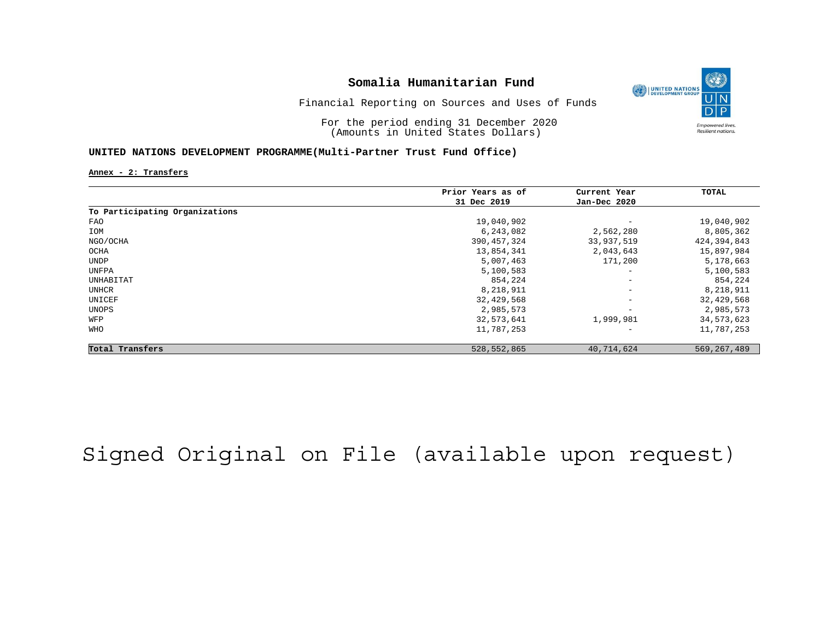

Financial Reporting on Sources and Uses of Funds

For the period ending 31 December 2020 (Amounts in United States Dollars)

#### **UNITED NATIONS DEVELOPMENT PROGRAMME(Multi-Partner Trust Fund Office)**

**Annex - 2: Transfers**

|                                | Prior Years as of | Current Year             | TOTAL         |
|--------------------------------|-------------------|--------------------------|---------------|
|                                | 31 Dec 2019       | Jan-Dec 2020             |               |
| To Participating Organizations |                   |                          |               |
| FAO                            | 19,040,902        | $\overline{\phantom{0}}$ | 19,040,902    |
| IOM                            | 6,243,082         | 2,562,280                | 8,805,362     |
| NGO/OCHA                       | 390, 457, 324     | 33,937,519               | 424,394,843   |
| OCHA                           | 13,854,341        | 2,043,643                | 15,897,984    |
| UNDP                           | 5,007,463         | 171,200                  | 5,178,663     |
| UNFPA                          | 5,100,583         | $\overline{\phantom{m}}$ | 5,100,583     |
| UNHABITAT                      | 854,224           | $\overline{\phantom{m}}$ | 854,224       |
| UNHCR                          | 8,218,911         | $\overline{\phantom{a}}$ | 8,218,911     |
| UNICEF                         | 32,429,568        | $\overline{\phantom{m}}$ | 32,429,568    |
| UNOPS                          | 2,985,573         | $\overline{\phantom{0}}$ | 2,985,573     |
| WFP                            | 32,573,641        | 1,999,981                | 34,573,623    |
| <b>WHO</b>                     | 11,787,253        | $\overline{\phantom{0}}$ | 11,787,253    |
| Total Transfers                | 528, 552, 865     | 40,714,624               | 569, 267, 489 |

# Signed Original on File (available upon request)